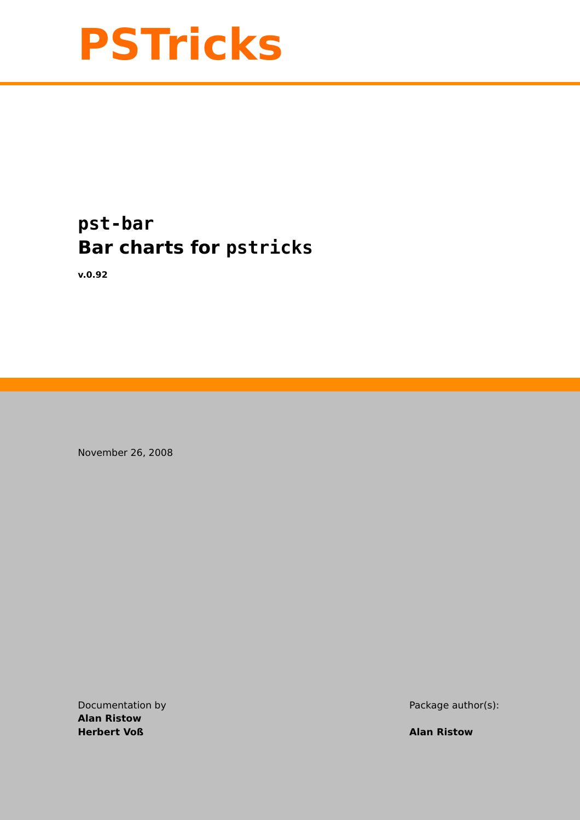

# **pst-bar Bar charts for pstricks**

**v.0.92**

November 26, 2008

**Alan Ristow Herbert Voß Alan Ristow**

Documentation by Package author(s):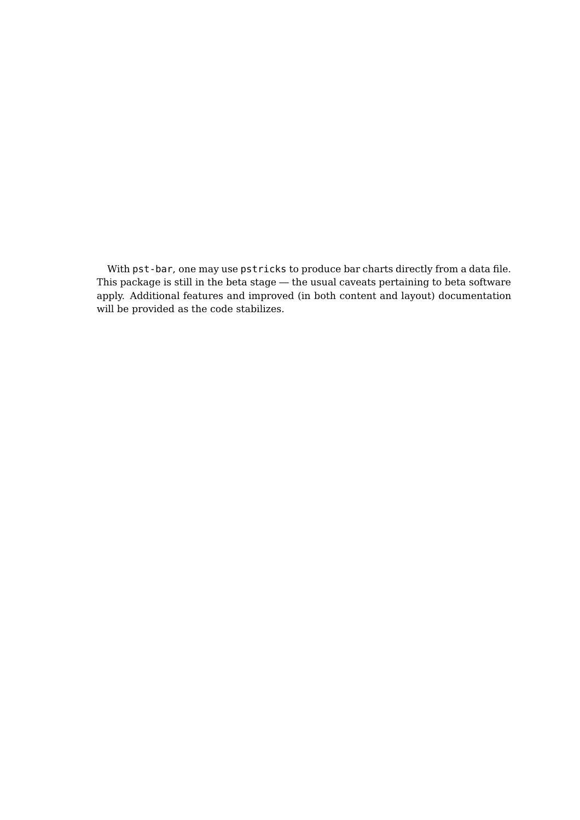<span id="page-1-0"></span>With pst-bar, one may use pstricks to produce bar charts directly from a data file. This package is still in the beta stage — the usual caveats pertaining to beta software apply. Additional features and improved (in both content and layout) documentation will be provided as the code stabilizes.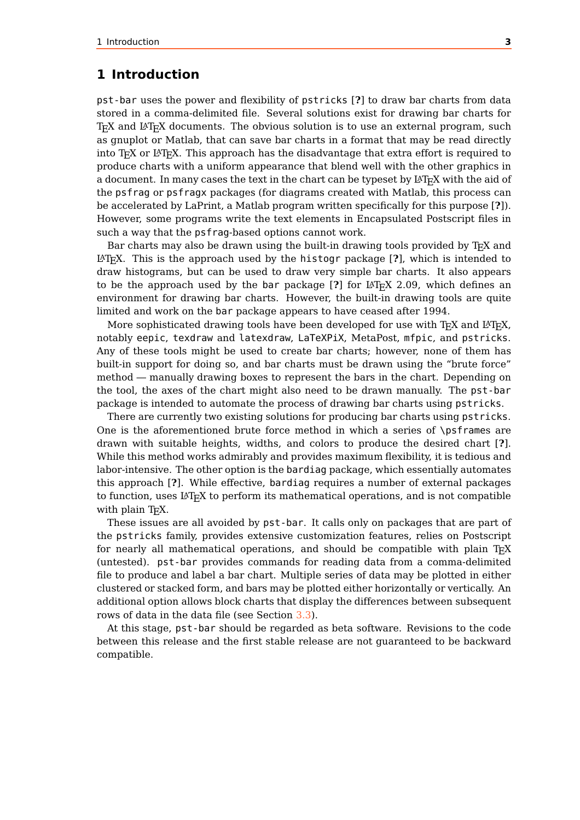## <span id="page-2-0"></span>**1 Introduction**

pst-bar uses the power and flexibility of pstricks [**?**] to draw bar charts from data stored in a comma-delimited file. Several solutions exist for drawing bar charts for  $T_FX$  and  $L^2T_FX$  documents. The obvious solution is to use an external program, such as gnuplot or Matlab, that can save bar charts in a format that may be read directly into T<sub>EX</sub> or  $\text{LTr}X$ . This approach has the disadvantage that extra effort is required to produce charts with a uniform appearance that blend well with the other graphics in a document. In many cases the text in the chart can be typeset by  $\mathbb{B}T_F X$  with the aid of the psfrag or psfragx packages (for diagrams created with Matlab, this process can be accelerated by LaPrint, a Matlab program written specifically for this purpose [**?**]). However, some programs write the text elements in Encapsulated Postscript files in such a way that the psfrag-based options cannot work.

Bar charts may also be drawn using the built-in drawing tools provided by T<sub>E</sub>X and LATEX. This is the approach used by the histogr package [**?**], which is intended to draw histograms, but can be used to draw very simple bar charts. It also appears to be the approach used by the bar package  $[?]$  for  $\mathbb{F}$ <sub>TF</sub>X 2.09, which defines an environment for drawing bar charts. However, the built-in drawing tools are quite limited and work on the bar package appears to have ceased after 1994.

More sophisticated drawing tools have been developed for use with  $T_FX$  and  $L^2T_FX$ , notably eepic, texdraw and latexdraw, LaTeXPiX, MetaPost, mfpic, and pstricks. Any of these tools might be used to create bar charts; however, none of them has built-in support for doing so, and bar charts must be drawn using the "brute force" method — manually drawing boxes to represent the bars in the chart. Depending on the tool, the axes of the chart might also need to be drawn manually. The pst-bar package is intended to automate the process of drawing bar charts using pstricks.

There are currently two existing solutions for producing bar charts using pstricks. One is the aforementioned brute force method in which a series of \psframes are drawn with suitable heights, widths, and colors to produce the desired chart [**?**]. While this method works admirably and provides maximum flexibility, it is tedious and labor-intensive. The other option is the bardiag package, which essentially automates this approach [**?**]. While effective, bardiag requires a number of external packages to function, uses  $LAT$ <sub>F</sub>X to perform its mathematical operations, and is not compatible with plain T<sub>E</sub>X.

These issues are all avoided by pst-bar. It calls only on packages that are part of the pstricks family, provides extensive customization features, relies on Postscript for nearly all mathematical operations, and should be compatible with plain  $T_F X$ (untested). pst-bar provides commands for reading data from a comma-delimited file to produce and label a bar chart. Multiple series of data may be plotted in either clustered or stacked form, and bars may be plotted either horizontally or vertically. An additional option allows block charts that display the differences between subsequent rows of data in the data file (see Section [3.3\)](#page-7-0).

At this stage, pst-bar should be regarded as beta software. Revisions to the code between this release and the first stable release are not guaranteed to be backward compatible.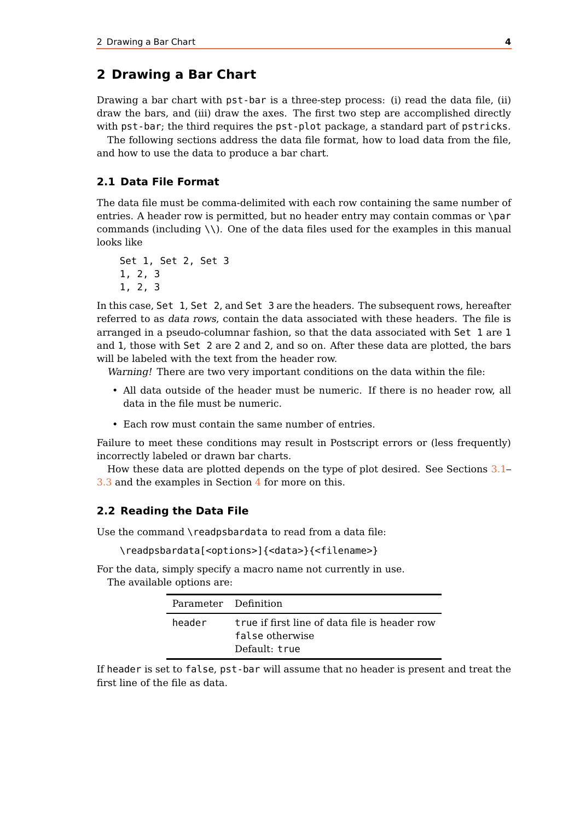## <span id="page-3-0"></span>**2 Drawing a Bar Chart**

Drawing a bar chart with pst-bar is a three-step process: (i) read the data file, (ii) draw the bars, and (iii) draw the axes. The first two step are accomplished directly with pst-bar; the third requires the pst-plot package, a standard part of pstricks.

The following sections address the data file format, how to load data from the file, and how to use the data to produce a bar chart.

#### **2.1 Data File Format**

The data file must be comma-delimited with each row containing the same number of entries. A header row is permitted, but no header entry may contain commas or \par commands (including \\). One of the data files used for the examples in this manual looks like

```
Set 1, Set 2, Set 3
1, 2, 3
1, 2, 3
```
In this case, Set 1, Set 2, and Set 3 are the headers. The subsequent rows, hereafter referred to as data rows, contain the data associated with these headers. The file is arranged in a pseudo-columnar fashion, so that the data associated with Set 1 are 1 and 1, those with Set 2 are 2 and 2, and so on. After these data are plotted, the bars will be labeled with the text from the header row.

Warning! There are two very important conditions on the data within the file:

- All data outside of the header must be numeric. If there is no header row, all data in the file must be numeric.
- Each row must contain the same number of entries.

Failure to meet these conditions may result in Postscript errors or (less frequently) incorrectly labeled or drawn bar charts.

How these data are plotted depends on the type of plot desired. See Sections [3.1–](#page-6-0) [3.3](#page-7-0) and the examples in Section [4](#page-7-1) for more on this.

#### **2.2 Reading the Data File**

Use the command \readpsbardata to read from a data file:

\readpsbardata[<options>]{<data>}{<filename>}

For the data, simply specify a macro name not currently in use.

The available options are:

| Parameter Definition |                                                                                   |
|----------------------|-----------------------------------------------------------------------------------|
| header               | true if first line of data file is header row<br>false otherwise<br>Default: true |

If header is set to false, pst-bar will assume that no header is present and treat the first line of the file as data.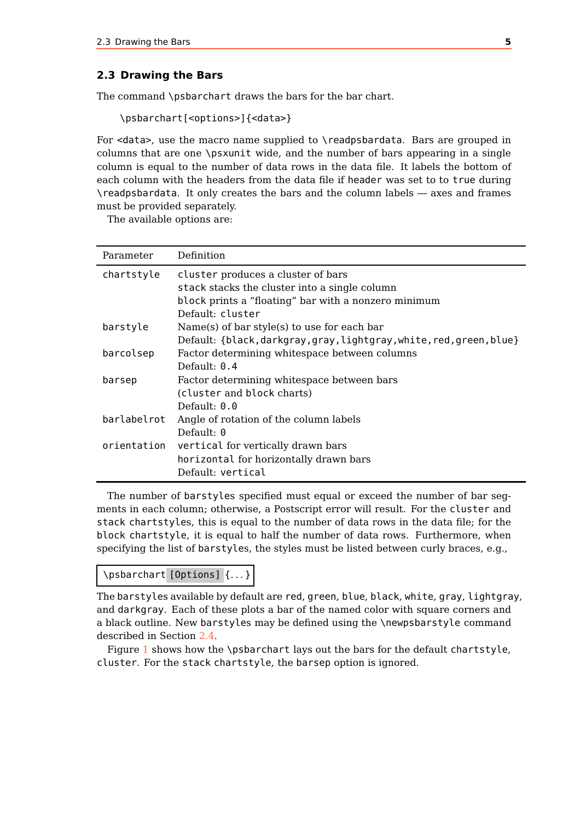#### <span id="page-4-1"></span><span id="page-4-0"></span>**2.3 Drawing the Bars**

The command \psbarchart draws the bars for the bar chart.

```
\psbarchart[<options>]{<data>}
```
For <data>, use the macro name supplied to \readpsbardata. Bars are grouped in columns that are one \psxunit wide, and the number of bars appearing in a single column is equal to the number of data rows in the data file. It labels the bottom of each column with the headers from the data file if header was set to to true during \readpsbardata. It only creates the bars and the column labels — axes and frames must be provided separately.

The available options are:

| Parameter   | Definition                                                    |
|-------------|---------------------------------------------------------------|
| chartstyle  | cluster produces a cluster of bars                            |
|             | stack stacks the cluster into a single column                 |
|             | block prints a "floating" bar with a nonzero minimum          |
|             | Default: cluster                                              |
| barstyle    | Name(s) of bar style(s) to use for each bar                   |
|             | Default: {black,darkgray,gray,lightgray,white,red,green,blue} |
| barcolsep   | Factor determining whitespace between columns                 |
|             | Default: $0.4$                                                |
| barsep      | Factor determining whitespace between bars                    |
|             | (cluster and block charts)                                    |
|             | Default: $0.0$                                                |
| barlabelrot | Angle of rotation of the column labels                        |
|             | Default: $\theta$                                             |
| orientation | vertical for vertically drawn bars                            |
|             | horizontal for horizontally drawn bars                        |
|             | Default: vertical                                             |

The number of barstyles specified must equal or exceed the number of bar segments in each column; otherwise, a Postscript error will result. For the cluster and stack chartstyles, this is equal to the number of data rows in the data file; for the block chartstyle, it is equal to half the number of data rows. Furthermore, when specifying the list of barstyles, the styles must be listed between curly braces, e.g.,

```
\psbarchart [Options] {. . . }
```
The barstyles available by default are red, green, blue, black, white, gray, lightgray, and darkgray. Each of these plots a bar of the named color with square corners and a black outline. New barstyles may be defined using the \newpsbarstyle command described in Section [2.4.](#page-5-0)

Figure [1](#page-5-1) shows how the \psbarchart lays out the bars for the default chartstyle, cluster. For the stack chartstyle, the barsep option is ignored.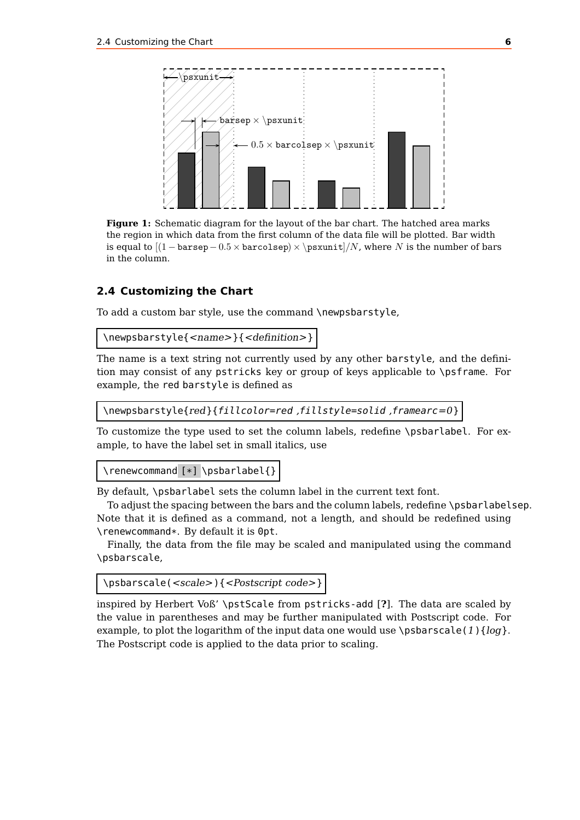<span id="page-5-2"></span><span id="page-5-1"></span>

**Figure 1:** Schematic diagram for the layout of the bar chart. The hatched area marks the region in which data from the first column of the data file will be plotted. Bar width is equal to  $[(1 - \text{bare}) - 0.5 \times \text{base}) \times \text{phase}$ , where N is the number of bars in the column.

#### <span id="page-5-0"></span>**2.4 Customizing the Chart**

To add a custom bar style, use the command \newpsbarstyle,

\newpsbarstyle{<name>}{<definition>}

The name is a text string not currently used by any other barstyle, and the definition may consist of any pstricks key or group of keys applicable to \psframe. For example, the red barstyle is defined as

\newpsbarstyle{red}{fillcolor=red ,fillstyle=solid ,framearc=0}

To customize the type used to set the column labels, redefine \psbarlabel. For example, to have the label set in small italics, use

\renewcommand [\*] \psbarlabel{}

By default, \psbarlabel sets the column label in the current text font.

To adjust the spacing between the bars and the column labels, redefine \psbarlabelsep. Note that it is defined as a command, not a length, and should be redefined using \renewcommand\*. By default it is 0pt.

Finally, the data from the file may be scaled and manipulated using the command \psbarscale,

```
\psbarscale(<scale>){<Postscript code>}
```
inspired by Herbert Voß' \pstScale from pstricks-add [**?**]. The data are scaled by the value in parentheses and may be further manipulated with Postscript code. For example, to plot the logarithm of the input data one would use  $\psbarscale(1){log}.$ The Postscript code is applied to the data prior to scaling.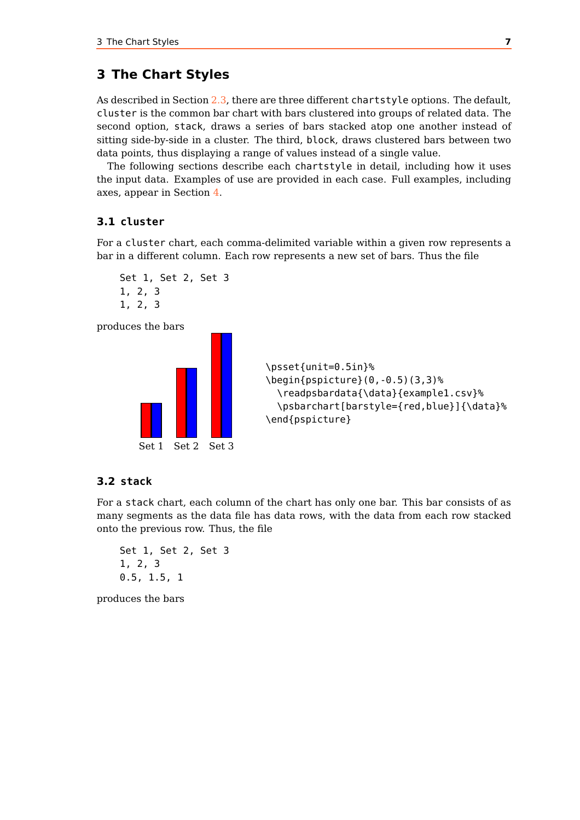# <span id="page-6-1"></span>**3 The Chart Styles**

As described in Section [2.3,](#page-4-0) there are three different chartstyle options. The default, cluster is the common bar chart with bars clustered into groups of related data. The second option, stack, draws a series of bars stacked atop one another instead of sitting side-by-side in a cluster. The third, block, draws clustered bars between two data points, thus displaying a range of values instead of a single value.

The following sections describe each chartstyle in detail, including how it uses the input data. Examples of use are provided in each case. Full examples, including axes, appear in Section [4.](#page-7-1)

#### <span id="page-6-0"></span>**3.1 cluster**

For a cluster chart, each comma-delimited variable within a given row represents a bar in a different column. Each row represents a new set of bars. Thus the file



produces the bars



```
\psset{unit=0.5in}%
\begin{pspicture}(0,-0.5)(3,3)%
  \readpsbardata{\data}{example1.csv}%
  \psbarchart[barstyle={red,blue}]{\data}%
\end{pspicture}
```
#### **3.2 stack**

For a stack chart, each column of the chart has only one bar. This bar consists of as many segments as the data file has data rows, with the data from each row stacked onto the previous row. Thus, the file

```
Set 1, Set 2, Set 3
1, 2, 3
0.5, 1.5, 1
```
produces the bars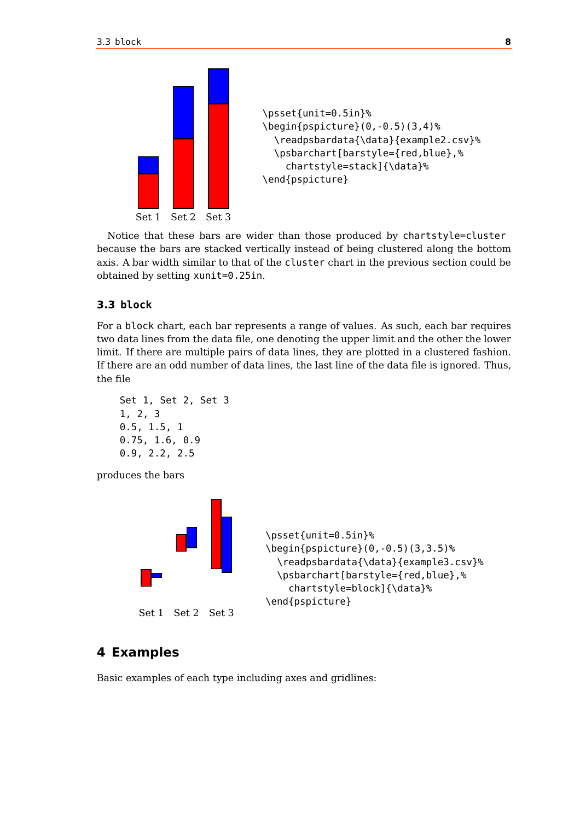<span id="page-7-2"></span>



Notice that these bars are wider than those produced by chartstyle=cluster because the bars are stacked vertically instead of being clustered along the bottom axis. A bar width similar to that of the cluster chart in the previous section could be obtained by setting xunit=0.25in.

#### <span id="page-7-0"></span>**3.3 block**

For a block chart, each bar represents a range of values. As such, each bar requires two data lines from the data file, one denoting the upper limit and the other the lower limit. If there are multiple pairs of data lines, they are plotted in a clustered fashion. If there are an odd number of data lines, the last line of the data file is ignored. Thus, the file

```
Set 1, Set 2, Set 3
1, 2, 3
0.5, 1.5, 1
0.75, 1.6, 0.9
0.9, 2.2, 2.5
```
produces the bars



```
\psset{unit=0.5in}%
\begin{pspicture}(0,-0.5)(3,3.5)%
  \readpsbardata{\data}{example3.csv}%
  \psbarchart[barstyle={red,blue},%
    chartstyle=block]{\data}%
\end{pspicture}
```
# <span id="page-7-1"></span>**4 Examples**

Basic examples of each type including axes and gridlines: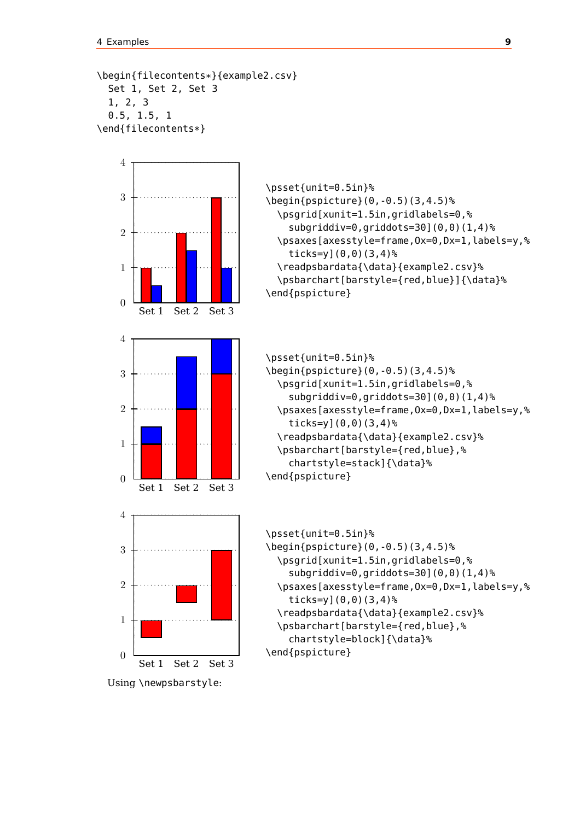```
\begin{filecontents*}{example2.csv}
 Set 1, Set 2, Set 3
  1, 2, 3
 0.5, 1.5, 1
\end{filecontents*}
```


\psset{unit=0.5in}% \begin{pspicture}(0,-0.5)(3,4.5)% \psgrid[xunit=1.5in,gridlabels=0,% subgriddiv=0,griddots=30](0,0)(1,4)% \psaxes[axesstyle=frame,Ox=0,Dx=1,labels=y,% ticks=y](0,0)(3,4)% \readpsbardata{\data}{example2.csv}% \psbarchart[barstyle={red,blue}]{\data}% \end{pspicture}

```
\psset{unit=0.5in}%
\begin{pspicture}(0,-0.5)(3,4.5)%
  \psgrid[xunit=1.5in,gridlabels=0,%
    subgriddiv=0,griddots=30](0,0)(1,4)%
  \psaxes[axesstyle=frame,Ox=0,Dx=1,labels=y,%
    ticks=y](0,0)(3,4)%
  \readpsbardata{\data}{example2.csv}%
  \psbarchart[barstyle={red,blue},%
    chartstyle=stack]{\data}%
\end{pspicture}
```

```
\psset{unit=0.5in}%
\begin{pspicture}(0,-0.5)(3,4.5)%
  \psgrid[xunit=1.5in,gridlabels=0,%
    subgriddiv=0,griddots=30](0,0)(1,4)%
  \psaxes[axesstyle=frame,Ox=0,Dx=1,labels=y,%
    ticks=y](0,0)(3,4)%
  \readpsbardata{\data}{example2.csv}%
  \psbarchart[barstyle={red,blue},%
    chartstyle=block]{\data}%
\end{pspicture}
```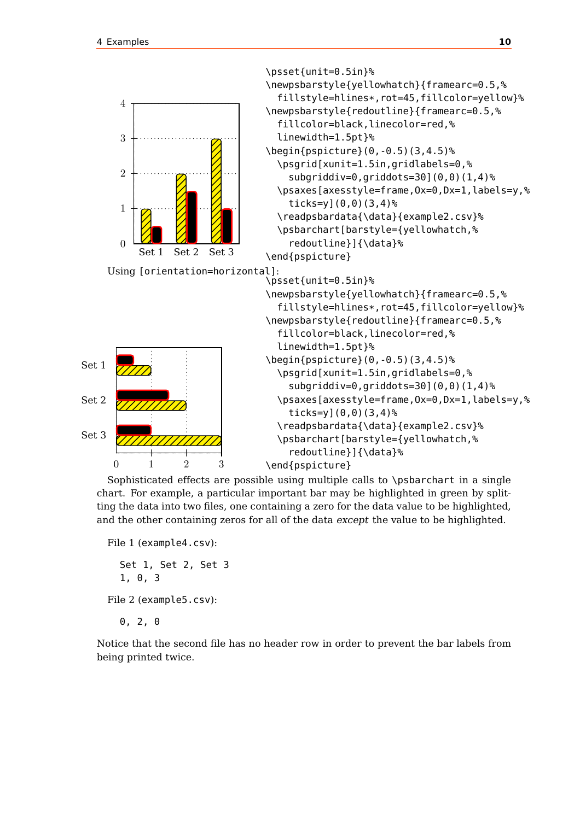<span id="page-9-0"></span>

Sophisticated effects are possible using multiple calls to \psbarchart in a single chart. For example, a particular important bar may be highlighted in green by splitting the data into two files, one containing a zero for the data value to be highlighted, and the other containing zeros for all of the data except the value to be highlighted.

```
File 1 (example4.csv):
  Set 1, Set 2, Set 3
  1, 0, 3
File 2 (example5.csv):
```
0, 2, 0

Notice that the second file has no header row in order to prevent the bar labels from being printed twice.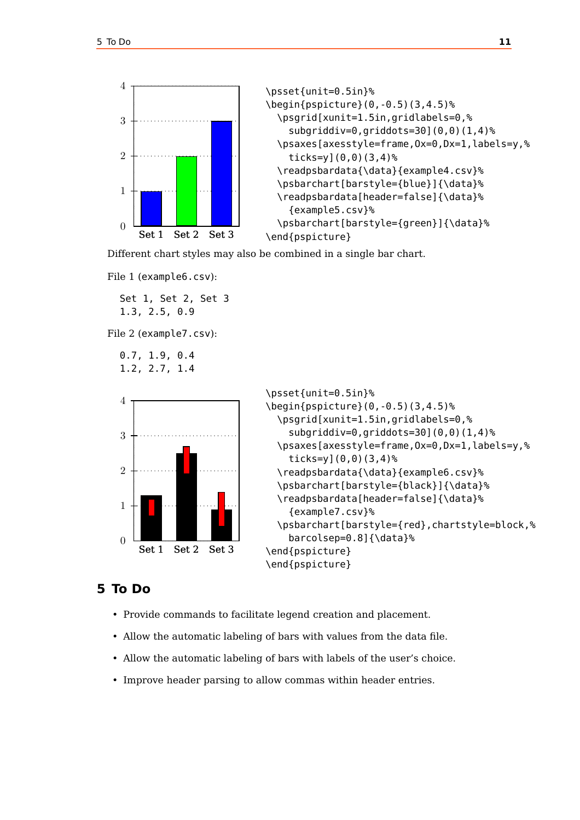



Different chart styles may also be combined in a single bar chart.

File 1 (example6.csv):

Set 1, Set 2, Set 3 1.3, 2.5, 0.9

File 2 (example7.csv):

```
0.7, 1.9, 0.4
1.2, 2.7, 1.4
```




## **5 To Do**

- Provide commands to facilitate legend creation and placement.
- Allow the automatic labeling of bars with values from the data file.
- Allow the automatic labeling of bars with labels of the user's choice.
- Improve header parsing to allow commas within header entries.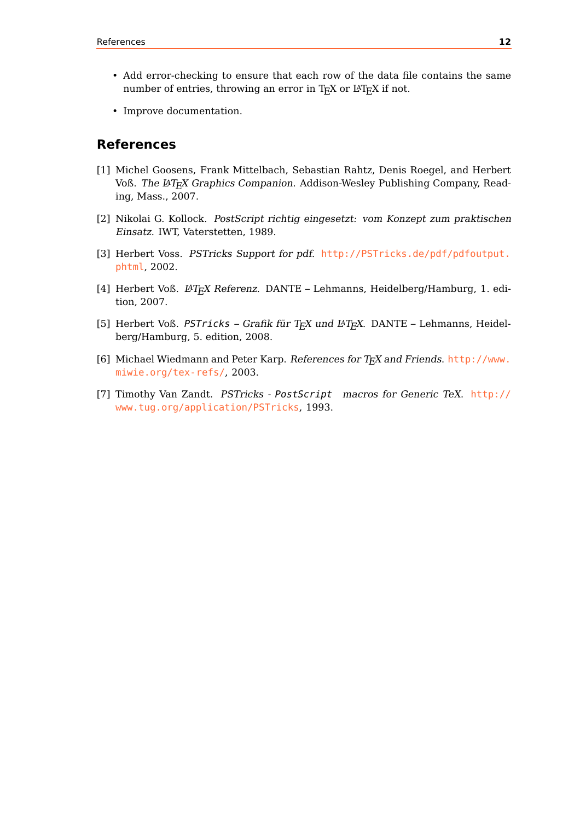- Add error-checking to ensure that each row of the data file contains the same number of entries, throwing an error in TEX or L<sup>AT</sup>EX if not.
- Improve documentation.

## **References**

- [1] Michel Goosens, Frank Mittelbach, Sebastian Rahtz, Denis Roegel, and Herbert Voß. The LATEX Graphics Companion. Addison-Wesley Publishing Company, Reading, Mass., 2007.
- [2] Nikolai G. Kollock. PostScript richtig eingesetzt: vom Konzept zum praktischen Einsatz. IWT, Vaterstetten, 1989.
- [3] Herbert Voss. PSTricks Support for pdf. [http://PSTricks.de/pdf/pdfoutput.](http://PSTricks.de/pdf/pdfoutput.phtml) [phtml](http://PSTricks.de/pdf/pdfoutput.phtml), 2002.
- [4] Herbert Voß. L<sup>4</sup>TEX Referenz. DANTE Lehmanns, Heidelberg/Hamburg, 1. edition, 2007.
- [5] Herbert Voß. PSTricks Grafik für TEX und L<sup>A</sup>TEX. DANTE Lehmanns, Heidelberg/Hamburg, 5. edition, 2008.
- [6] Michael Wiedmann and Peter Karp. References for T<sub>F</sub>X and Friends. [http://www.](http://www.miwie.org/tex-refs/) [miwie.org/tex-refs/](http://www.miwie.org/tex-refs/), 2003.
- [7] Timothy Van Zandt. PSTricks PostScript macros for Generic TeX. [http://](http://www.tug.org/application/PSTricks) [www.tug.org/application/PSTricks](http://www.tug.org/application/PSTricks), 1993.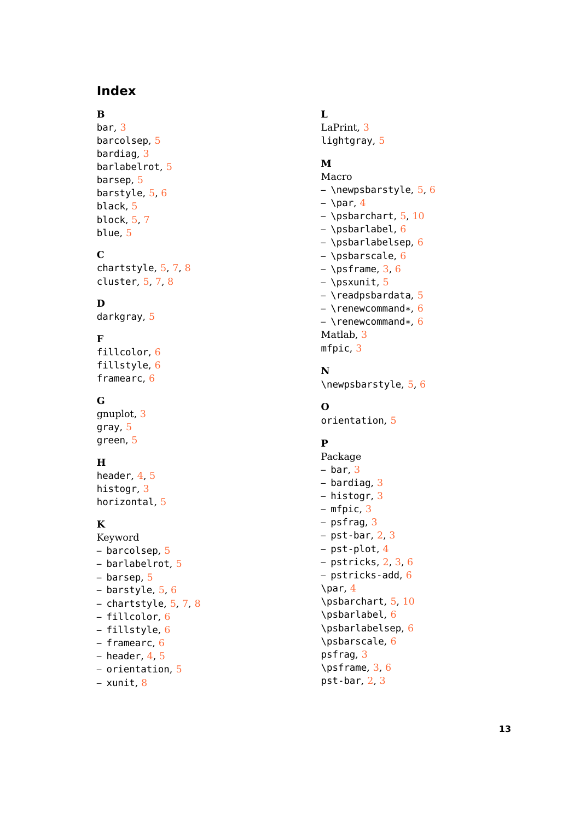# **Index**

# **B**

bar , [3](#page-2-0) barcolsep, <mark>[5](#page-4-1)</mark> bardiag , [3](#page-2-0) barlabelrot, <mark>[5](#page-4-1)</mark> barsep , [5](#page-4-1) barstyle , [5](#page-4-1) , [6](#page-5-2) black , [5](#page-4-1) block , [5](#page-4-1) , [7](#page-6-1) blue , [5](#page-4-1)

# **C**

chartstyle, [5](#page-4-1), [7](#page-6-1), [8](#page-7-2) cluster, [5](#page-4-1), [7](#page-6-1), [8](#page-7-2)

# **D**

darkgray , [5](#page-4-1)

# **F**

fillcolor , [6](#page-5-2) fillstyle, <mark>[6](#page-5-2)</mark> framearc , [6](#page-5-2)

# **G**

gnuplot, [3](#page-2-0) gray , [5](#page-4-1) green , [5](#page-4-1)

## **H**

header, [4](#page-3-0), [5](#page-4-1) histogr , [3](#page-2-0) horizontal , [5](#page-4-1)

# **K**

- Keyword – barcolsep, <mark>[5](#page-4-1)</mark> – barlabelrot , [5](#page-4-1) – barsep, [5](#page-4-1) – barstyle, [5](#page-4-1), [6](#page-5-2) – chartstyle, <mark>[5](#page-4-1)</mark>, [7](#page-6-1), [8](#page-7-2) – fillcolor, [6](#page-5-2) – fillstyle, [6](#page-5-2) – framearc, [6](#page-5-2) – header, [4](#page-3-0), [5](#page-4-1) – orientation , [5](#page-4-1)
- xunit, [8](#page-7-2)

# **L**

LaPrint, [3](#page-2-0) lightgray, <mark>[5](#page-4-1)</mark>

## **M**

- Macro – \newpsbarstyle, <mark>[5](#page-4-1)</mark>, [6](#page-5-2) – \par , [4](#page-3-0) – \psbarchart, <mark>[5](#page-4-1), [10](#page-9-0)</mark> – \psbarlabel,  $6\,$  $6\,$ – \psbarlabelsep , [6](#page-5-2) – \psbarscale,  $6\,$  $6\,$ – \psframe, [3](#page-2-0), [6](#page-5-2) – \psxunit, <mark>[5](#page-4-1)</mark> – \readpsbardata, <mark>[5](#page-4-1)</mark>
- \renewcommand\*, <mark>[6](#page-5-2)</mark> – \renewcommand\*, <mark>[6](#page-5-2)</mark> Matlab, [3](#page-2-0) mfpic , [3](#page-2-0)

#### **N**

\newpsbarstyle , [5](#page-4-1) , [6](#page-5-2)

# **O**

orientation, [5](#page-4-1)

# **P**

Package  $-$  bar,  $3$ – bardiag, [3](#page-2-0) – histogr, [3](#page-2-0) – mfpic , [3](#page-2-0) – psfrag, [3](#page-2-0) – pst-bar, [2](#page-1-0), [3](#page-2-0) – pst-plot,[4](#page-3-0) – pstricks, [2](#page-1-0), [3](#page-2-0), [6](#page-5-2) – pstricks-add, [6](#page-5-2) \par , [4](#page-3-0) \psbarchart , [5](#page-4-1) , [10](#page-9-0) \psbarlabel , [6](#page-5-2) \psbarlabelsep , [6](#page-5-2) \psbarscale , [6](#page-5-2) psfrag , [3](#page-2-0) \psframe , [3](#page-2-0) , [6](#page-5-2) pst-bar , [2](#page-1-0) , [3](#page-2-0)